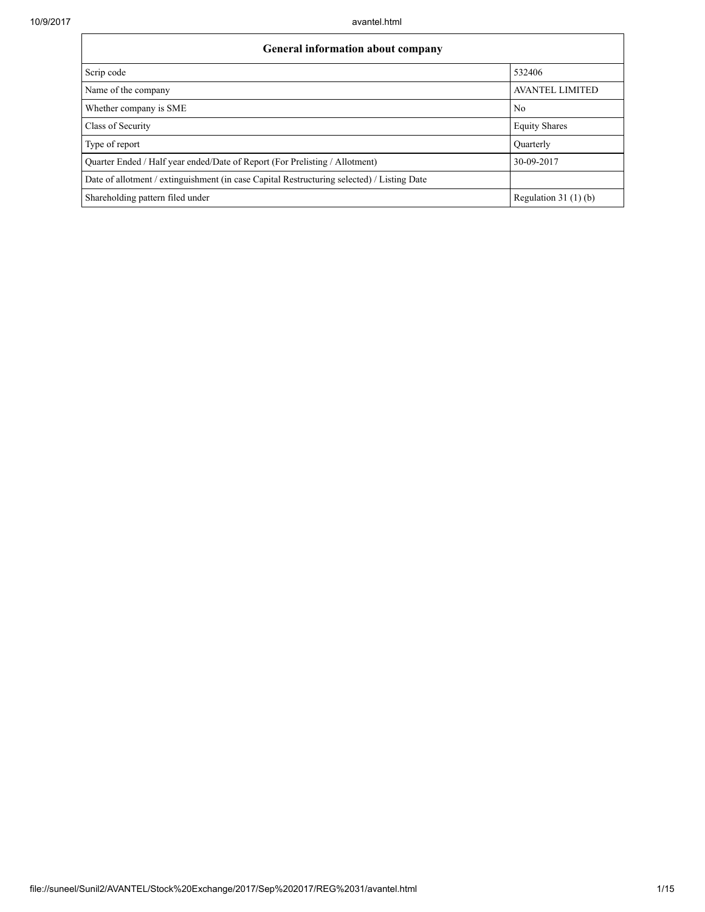| <b>General information about company</b>                                                   |                        |  |  |  |  |
|--------------------------------------------------------------------------------------------|------------------------|--|--|--|--|
| Scrip code                                                                                 | 532406                 |  |  |  |  |
| Name of the company                                                                        | <b>AVANTEL LIMITED</b> |  |  |  |  |
| Whether company is SME                                                                     | No                     |  |  |  |  |
| Class of Security                                                                          | <b>Equity Shares</b>   |  |  |  |  |
| Type of report                                                                             | Ouarterly              |  |  |  |  |
| Quarter Ended / Half year ended/Date of Report (For Prelisting / Allotment)                | 30-09-2017             |  |  |  |  |
| Date of allotment / extinguishment (in case Capital Restructuring selected) / Listing Date |                        |  |  |  |  |
| Shareholding pattern filed under                                                           | Regulation $31(1)(b)$  |  |  |  |  |

٦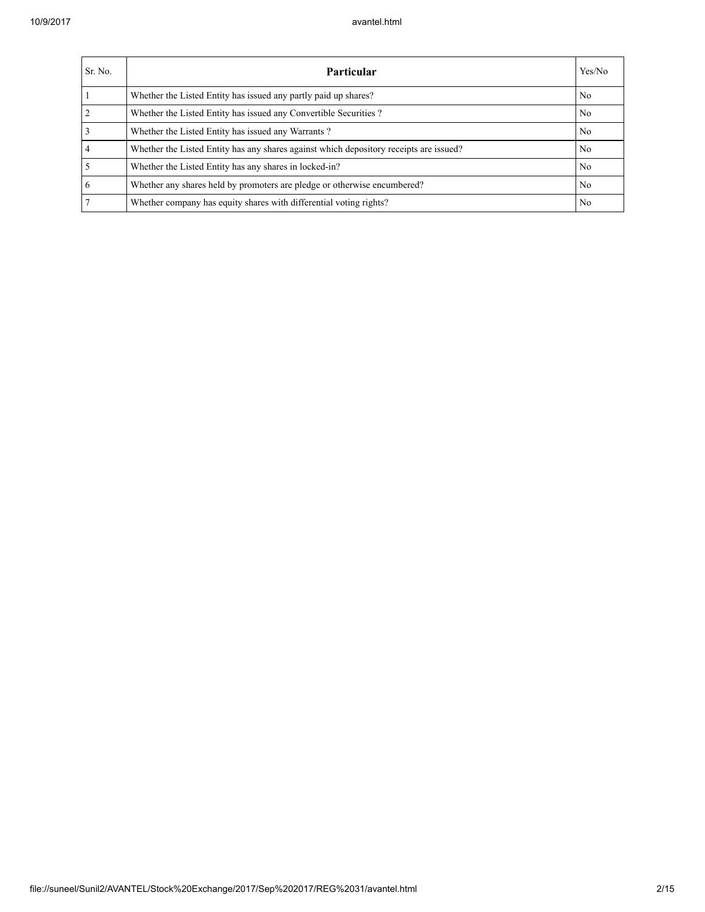| Sr. No. | <b>Particular</b>                                                                      | Yes/No         |
|---------|----------------------------------------------------------------------------------------|----------------|
|         | Whether the Listed Entity has issued any partly paid up shares?                        | No             |
|         | Whether the Listed Entity has issued any Convertible Securities?                       | No             |
|         | Whether the Listed Entity has issued any Warrants?                                     | N <sub>0</sub> |
|         | Whether the Listed Entity has any shares against which depository receipts are issued? | No             |
|         | Whether the Listed Entity has any shares in locked-in?                                 | No             |
|         | Whether any shares held by promoters are pledge or otherwise encumbered?               | No             |
|         | Whether company has equity shares with differential voting rights?                     | No             |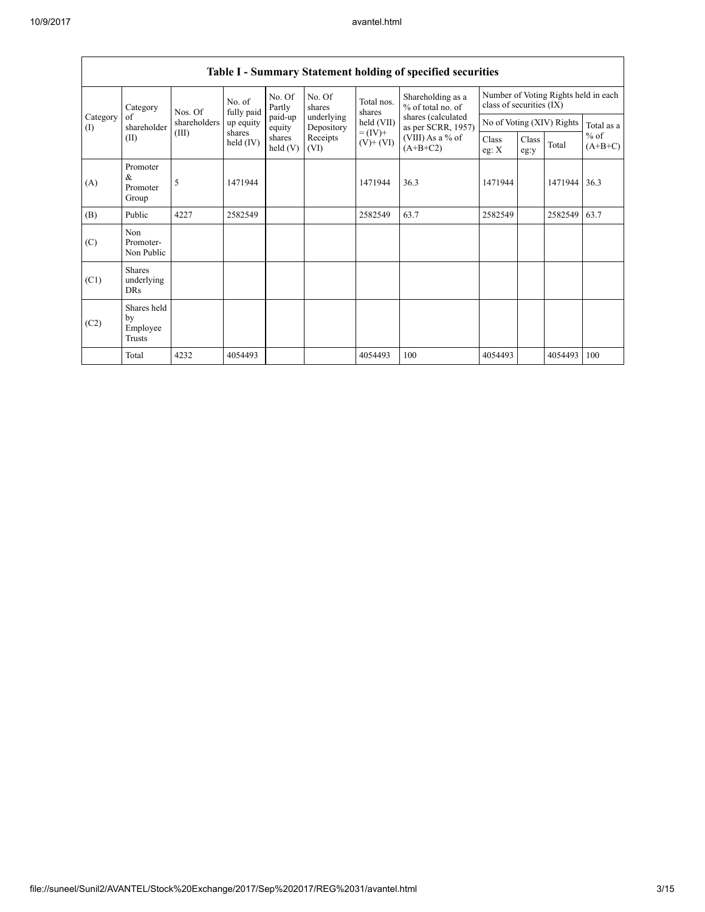| of<br>Category<br>(I)<br>(II) | Category                                  | Nos. Of      | No. of<br>fully paid | No. Of<br>Partly<br>paid-up<br>equity<br>shares<br>held(V) | No. Of<br>shares<br>underlying<br>Depository<br>Receipts<br>(VI) | Total nos.<br>shares<br>held (VII)<br>$= (IV) +$<br>$(V)$ + $(VI)$ | Shareholding as a<br>% of total no. of<br>shares (calculated<br>as per SCRR, 1957)<br>(VIII) As a % of<br>$(A+B+C2)$ | Number of Voting Rights held in each<br>class of securities (IX) |               |                           |                     |
|-------------------------------|-------------------------------------------|--------------|----------------------|------------------------------------------------------------|------------------------------------------------------------------|--------------------------------------------------------------------|----------------------------------------------------------------------------------------------------------------------|------------------------------------------------------------------|---------------|---------------------------|---------------------|
|                               | shareholder                               | shareholders | up equity            |                                                            |                                                                  |                                                                    |                                                                                                                      |                                                                  |               | No of Voting (XIV) Rights | Total as a          |
|                               |                                           | (III)        | shares<br>held (IV)  |                                                            |                                                                  |                                                                    |                                                                                                                      | Class<br>eg: $X$                                                 | Class<br>eg:y | Total                     | $%$ of<br>$(A+B+C)$ |
| (A)                           | Promoter<br>$\&$<br>Promoter<br>Group     | 5            | 1471944              |                                                            |                                                                  | 1471944                                                            | 36.3                                                                                                                 | 1471944                                                          |               | 1471944                   | 36.3                |
| (B)                           | Public                                    | 4227         | 2582549              |                                                            |                                                                  | 2582549                                                            | 63.7                                                                                                                 | 2582549                                                          |               | 2582549                   | 63.7                |
| (C)                           | Non<br>Promoter-<br>Non Public            |              |                      |                                                            |                                                                  |                                                                    |                                                                                                                      |                                                                  |               |                           |                     |
| (C1)                          | <b>Shares</b><br>underlying<br><b>DRs</b> |              |                      |                                                            |                                                                  |                                                                    |                                                                                                                      |                                                                  |               |                           |                     |
| (C2)                          | Shares held<br>by<br>Employee<br>Trusts   |              |                      |                                                            |                                                                  |                                                                    |                                                                                                                      |                                                                  |               |                           |                     |
|                               | Total                                     | 4232         | 4054493              |                                                            |                                                                  | 4054493                                                            | 100                                                                                                                  | 4054493                                                          |               | 4054493                   | 100                 |

## Table I - Summary Statement holding of specified securities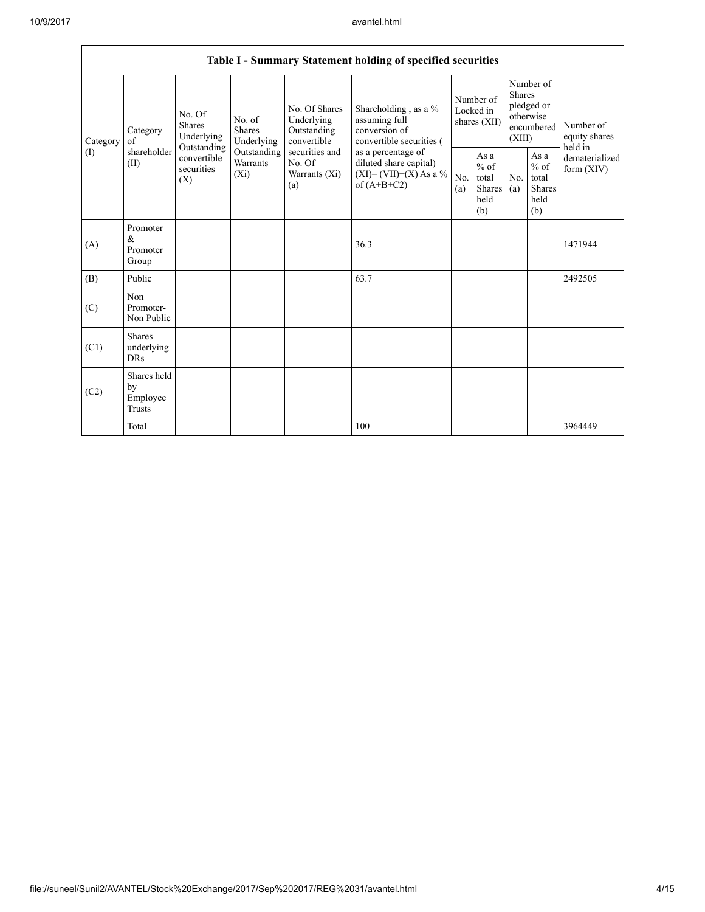|  |                 | Table I - Summary Statement holding of specified securities |                                                                                          |                                                                      |                                                                                                               |                                                                                                                                                                                |                                        |                                                  |                                                                               |                                                                   |                                           |
|--|-----------------|-------------------------------------------------------------|------------------------------------------------------------------------------------------|----------------------------------------------------------------------|---------------------------------------------------------------------------------------------------------------|--------------------------------------------------------------------------------------------------------------------------------------------------------------------------------|----------------------------------------|--------------------------------------------------|-------------------------------------------------------------------------------|-------------------------------------------------------------------|-------------------------------------------|
|  | Category<br>(1) | Category<br>of<br>shareholder<br>(II)                       | No. Of<br><b>Shares</b><br>Underlying<br>Outstanding<br>convertible<br>securities<br>(X) | No. of<br>Shares<br>Underlying<br>Outstanding<br>Warrants<br>$(X_i)$ | No. Of Shares<br>Underlying<br>Outstanding<br>convertible<br>securities and<br>No. Of<br>Warrants (Xi)<br>(a) | Shareholding, as a %<br>assuming full<br>conversion of<br>convertible securities (<br>as a percentage of<br>diluted share capital)<br>$(XI)=(VII)+(X) As a %$<br>of $(A+B+C2)$ | Number of<br>Locked in<br>shares (XII) |                                                  | Number of<br><b>Shares</b><br>pledged or<br>otherwise<br>encumbered<br>(XIII) |                                                                   | Number of<br>equity shares                |
|  |                 |                                                             |                                                                                          |                                                                      |                                                                                                               |                                                                                                                                                                                | No.<br>(a)                             | As a<br>$%$ of<br>total<br>Shares<br>held<br>(b) | No.<br>(a)                                                                    | As $\mathbf a$<br>$%$ of<br>total<br><b>Shares</b><br>held<br>(b) | held in<br>dematerialized<br>form $(XIV)$ |
|  | (A)             | Promoter<br>&<br>Promoter<br>Group                          |                                                                                          |                                                                      |                                                                                                               | 36.3                                                                                                                                                                           |                                        |                                                  |                                                                               |                                                                   | 1471944                                   |
|  | (B)             | Public                                                      |                                                                                          |                                                                      |                                                                                                               | 63.7                                                                                                                                                                           |                                        |                                                  |                                                                               |                                                                   | 2492505                                   |
|  | (C)             | Non<br>Promoter-<br>Non Public                              |                                                                                          |                                                                      |                                                                                                               |                                                                                                                                                                                |                                        |                                                  |                                                                               |                                                                   |                                           |
|  | (C1)            | <b>Shares</b><br>underlying<br><b>DRs</b>                   |                                                                                          |                                                                      |                                                                                                               |                                                                                                                                                                                |                                        |                                                  |                                                                               |                                                                   |                                           |
|  | (C2)            | Shares held<br>by<br>Employee<br>Trusts                     |                                                                                          |                                                                      |                                                                                                               |                                                                                                                                                                                |                                        |                                                  |                                                                               |                                                                   |                                           |
|  |                 | Total                                                       |                                                                                          |                                                                      |                                                                                                               | 100                                                                                                                                                                            |                                        |                                                  |                                                                               |                                                                   | 3964449                                   |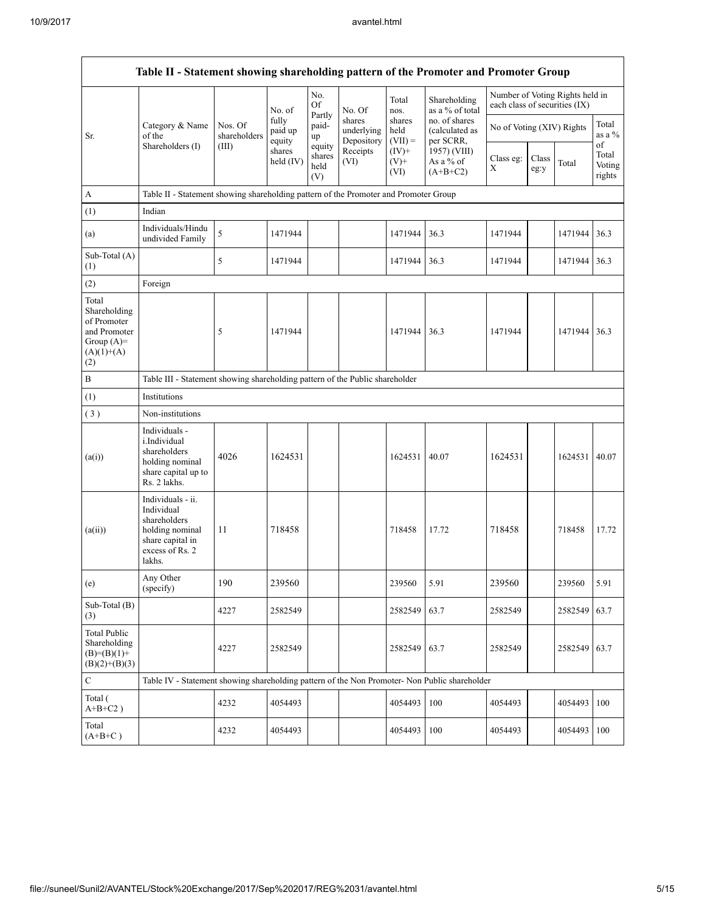|                                                                                             | Table II - Statement showing shareholding pattern of the Promoter and Promoter Group                                |                                                                                      |                            |                                 |                                    |                             |                                              |                               |               |                                 |                                 |
|---------------------------------------------------------------------------------------------|---------------------------------------------------------------------------------------------------------------------|--------------------------------------------------------------------------------------|----------------------------|---------------------------------|------------------------------------|-----------------------------|----------------------------------------------|-------------------------------|---------------|---------------------------------|---------------------------------|
|                                                                                             |                                                                                                                     |                                                                                      | No. of                     | No.<br><b>Of</b>                | No. Of                             | Total<br>nos.               | Shareholding<br>as a % of total              | each class of securities (IX) |               | Number of Voting Rights held in |                                 |
| Sr.                                                                                         | Category & Name<br>of the                                                                                           | Nos. Of<br>shareholders                                                              | fully<br>paid up<br>equity | Partly<br>paid-<br>up           | shares<br>underlying<br>Depository | shares<br>held<br>$(VII) =$ | no. of shares<br>(calculated as<br>per SCRR, | No of Voting (XIV) Rights     |               |                                 | Total<br>as a %                 |
|                                                                                             | Shareholders (I)                                                                                                    | (III)                                                                                | shares<br>held $(IV)$      | equity<br>shares<br>held<br>(V) | Receipts<br>(VI)                   | $(IV)$ +<br>$(V)$ +<br>(VI) | 1957) (VIII)<br>As a % of<br>$(A+B+C2)$      | Class eg:<br>X                | Class<br>eg:y | Total                           | of<br>Total<br>Voting<br>rights |
| A                                                                                           |                                                                                                                     | Table II - Statement showing shareholding pattern of the Promoter and Promoter Group |                            |                                 |                                    |                             |                                              |                               |               |                                 |                                 |
| (1)                                                                                         | Indian                                                                                                              |                                                                                      |                            |                                 |                                    |                             |                                              |                               |               |                                 |                                 |
| (a)                                                                                         | Individuals/Hindu<br>undivided Family                                                                               | 5                                                                                    | 1471944                    |                                 |                                    | 1471944                     | 36.3                                         | 1471944                       |               | 1471944                         | 36.3                            |
| Sub-Total (A)<br>(1)                                                                        |                                                                                                                     | 5                                                                                    | 1471944                    |                                 |                                    | 1471944                     | 36.3                                         | 1471944                       |               | 1471944                         | 36.3                            |
| (2)                                                                                         | Foreign                                                                                                             |                                                                                      |                            |                                 |                                    |                             |                                              |                               |               |                                 |                                 |
| Total<br>Shareholding<br>of Promoter<br>and Promoter<br>Group $(A)=$<br>$(A)(1)+(A)$<br>(2) |                                                                                                                     | 5                                                                                    | 1471944                    |                                 |                                    | 1471944                     | 36.3                                         | 1471944                       |               | 1471944                         | 36.3                            |
| $\, {\bf B}$                                                                                | Table III - Statement showing shareholding pattern of the Public shareholder                                        |                                                                                      |                            |                                 |                                    |                             |                                              |                               |               |                                 |                                 |
| (1)                                                                                         | Institutions                                                                                                        |                                                                                      |                            |                                 |                                    |                             |                                              |                               |               |                                 |                                 |
| (3)                                                                                         | Non-institutions                                                                                                    |                                                                                      |                            |                                 |                                    |                             |                                              |                               |               |                                 |                                 |
| (a(i))                                                                                      | Individuals -<br>i.Individual<br>shareholders<br>holding nominal<br>share capital up to<br>Rs. 2 lakhs.             | 4026                                                                                 | 1624531                    |                                 |                                    | 1624531                     | 40.07                                        | 1624531                       |               | 1624531                         | 40.07                           |
| (a(ii))                                                                                     | Individuals - ii.<br>Individual<br>shareholders<br>holding nominal<br>share capital in<br>excess of Rs. 2<br>lakhs. | 11                                                                                   | 718458                     |                                 |                                    | 718458                      | 17.72                                        | 718458                        |               | 718458                          | 17.72                           |
| (e)                                                                                         | Any Other<br>(specify)                                                                                              | 190                                                                                  | 239560                     |                                 |                                    | 239560                      | 5.91                                         | 239560                        |               | 239560                          | 5.91                            |
| Sub-Total (B)<br>(3)                                                                        |                                                                                                                     | 4227                                                                                 | 2582549                    |                                 |                                    | 2582549                     | 63.7                                         | 2582549                       |               | 2582549                         | 63.7                            |
| <b>Total Public</b><br>Shareholding<br>$(B)=(B)(1)+$<br>$(B)(2)+(B)(3)$                     |                                                                                                                     | 4227                                                                                 | 2582549                    |                                 |                                    | 2582549                     | 63.7                                         | 2582549                       |               | 2582549 63.7                    |                                 |
| ${\bf C}$                                                                                   | Table IV - Statement showing shareholding pattern of the Non Promoter- Non Public shareholder                       |                                                                                      |                            |                                 |                                    |                             |                                              |                               |               |                                 |                                 |
| Total (<br>$A+B+C2$ )                                                                       |                                                                                                                     | 4232                                                                                 | 4054493                    |                                 |                                    | 4054493                     | 100                                          | 4054493                       |               | 4054493                         | 100                             |
| Total<br>$(A+B+C)$                                                                          |                                                                                                                     | 4232                                                                                 | 4054493                    |                                 |                                    | 4054493                     | 100                                          | 4054493                       |               | 4054493 100                     |                                 |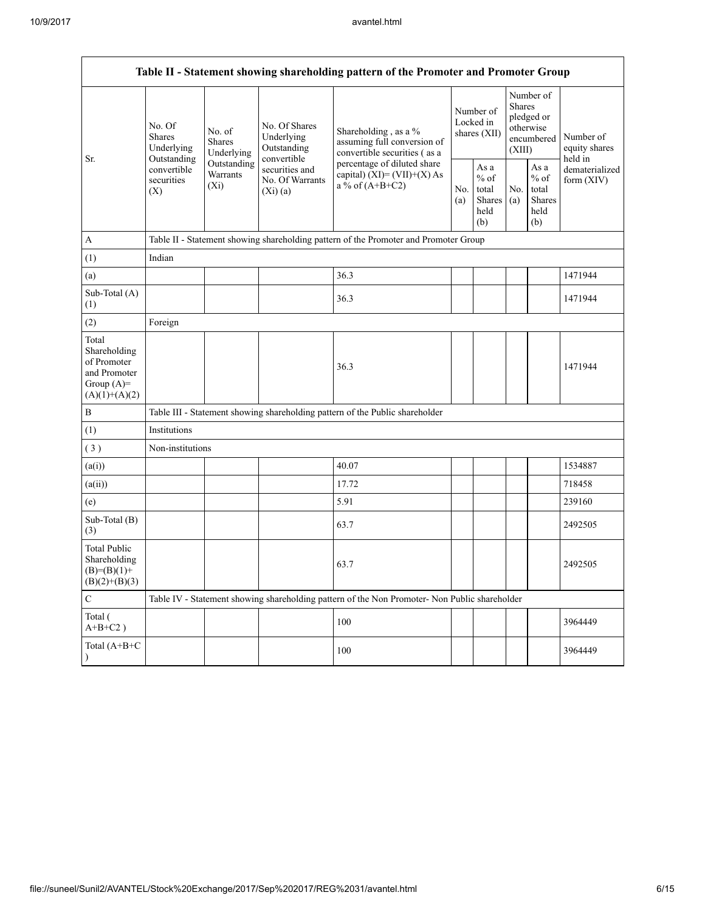|                                                                                         | Table II - Statement showing shareholding pattern of the Promoter and Promoter Group |                                       |                                                           |                                                                                               |            |                                                  |            |                                                                               |                                       |
|-----------------------------------------------------------------------------------------|--------------------------------------------------------------------------------------|---------------------------------------|-----------------------------------------------------------|-----------------------------------------------------------------------------------------------|------------|--------------------------------------------------|------------|-------------------------------------------------------------------------------|---------------------------------------|
| Sr.                                                                                     | No. Of<br>Shares<br>Underlying<br>Outstanding<br>convertible<br>securities<br>(X)    | No. of<br><b>Shares</b><br>Underlying | No. Of Shares<br>Underlying<br>Outstanding<br>convertible | Shareholding, as a %<br>assuming full conversion of<br>convertible securities (as a           |            | Number of<br>Locked in<br>shares (XII)           |            | Number of<br><b>Shares</b><br>pledged or<br>otherwise<br>encumbered<br>(XIII) | Number of<br>equity shares<br>held in |
|                                                                                         |                                                                                      | Outstanding<br>Warrants<br>$(X_i)$    | securities and<br>No. Of Warrants<br>(Xi)(a)              | percentage of diluted share<br>capital) $(XI) = (VII)+(X) As$<br>a % of $(A+B+C2)$            | No.<br>(a) | As a<br>$%$ of<br>total<br>Shares<br>held<br>(b) | No.<br>(a) | As $\mathbf a$<br>$%$ of<br>total<br>Shares<br>held<br>(b)                    | dematerialized<br>form $(XIV)$        |
| $\mathbf{A}$                                                                            |                                                                                      |                                       |                                                           | Table II - Statement showing shareholding pattern of the Promoter and Promoter Group          |            |                                                  |            |                                                                               |                                       |
| (1)                                                                                     | Indian                                                                               |                                       |                                                           |                                                                                               |            |                                                  |            |                                                                               |                                       |
| (a)                                                                                     |                                                                                      |                                       |                                                           | 36.3                                                                                          |            |                                                  |            |                                                                               | 1471944                               |
| Sub-Total (A)<br>(1)                                                                    |                                                                                      |                                       |                                                           | 36.3                                                                                          |            |                                                  |            |                                                                               | 1471944                               |
| (2)                                                                                     | Foreign                                                                              |                                       |                                                           |                                                                                               |            |                                                  |            |                                                                               |                                       |
| Total<br>Shareholding<br>of Promoter<br>and Promoter<br>Group $(A)=$<br>$(A)(1)+(A)(2)$ |                                                                                      |                                       |                                                           | 36.3                                                                                          |            |                                                  |            |                                                                               | 1471944                               |
| $\, {\bf B}$                                                                            |                                                                                      |                                       |                                                           | Table III - Statement showing shareholding pattern of the Public shareholder                  |            |                                                  |            |                                                                               |                                       |
| (1)                                                                                     | Institutions                                                                         |                                       |                                                           |                                                                                               |            |                                                  |            |                                                                               |                                       |
| (3)                                                                                     | Non-institutions                                                                     |                                       |                                                           |                                                                                               |            |                                                  |            |                                                                               |                                       |
| (a(i))                                                                                  |                                                                                      |                                       |                                                           | 40.07                                                                                         |            |                                                  |            |                                                                               | 1534887                               |
| (a(ii))                                                                                 |                                                                                      |                                       |                                                           | 17.72                                                                                         |            |                                                  |            |                                                                               | 718458                                |
| (e)                                                                                     |                                                                                      |                                       |                                                           | 5.91                                                                                          |            |                                                  |            |                                                                               | 239160                                |
| Sub-Total (B)<br>(3)                                                                    |                                                                                      |                                       |                                                           | 63.7                                                                                          |            |                                                  |            |                                                                               | 2492505                               |
| <b>Total Public</b><br>Shareholding<br>$(B)= (B)(1) +$<br>$(B)(2)+(B)(3)$               |                                                                                      |                                       |                                                           | 63.7                                                                                          |            |                                                  |            |                                                                               | 2492505                               |
| $\mathbf C$                                                                             |                                                                                      |                                       |                                                           | Table IV - Statement showing shareholding pattern of the Non Promoter- Non Public shareholder |            |                                                  |            |                                                                               |                                       |
| Total (<br>$A+B+C2$ )                                                                   |                                                                                      |                                       |                                                           | 100                                                                                           |            |                                                  |            |                                                                               | 3964449                               |
| Total (A+B+C                                                                            |                                                                                      |                                       |                                                           | 100                                                                                           |            |                                                  |            |                                                                               | 3964449                               |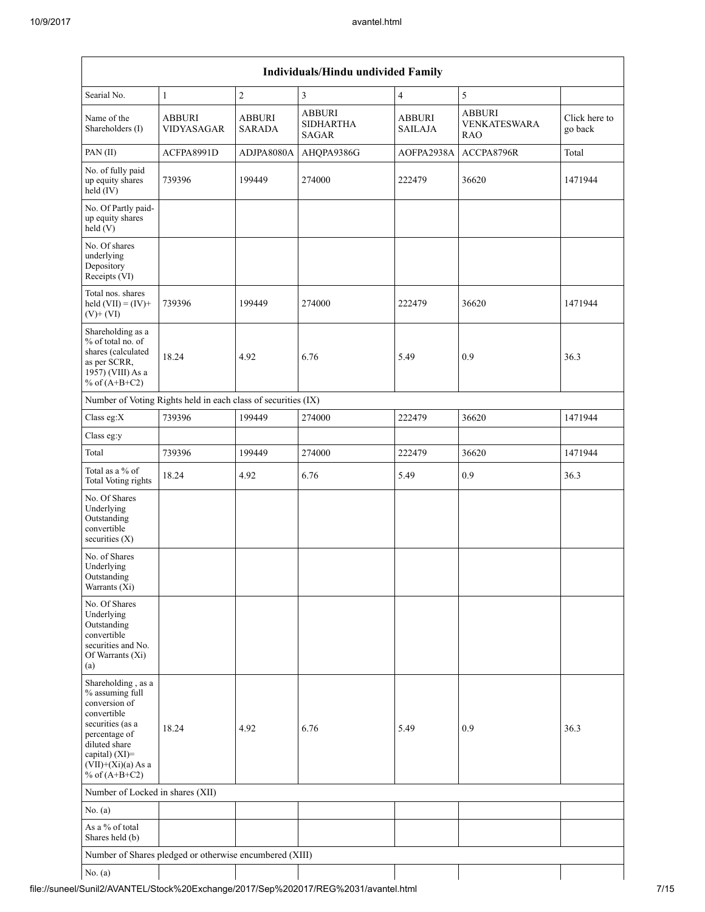|                                                                                                                                                                                             |                                                               |                         | Individuals/Hindu undivided Family         |                          |                                                    |                          |
|---------------------------------------------------------------------------------------------------------------------------------------------------------------------------------------------|---------------------------------------------------------------|-------------------------|--------------------------------------------|--------------------------|----------------------------------------------------|--------------------------|
| Searial No.                                                                                                                                                                                 | $\mathbf{1}$                                                  | $\sqrt{2}$              | 3                                          | $\overline{4}$           | $\sqrt{5}$                                         |                          |
| Name of the<br>Shareholders (I)                                                                                                                                                             | <b>ABBURI</b><br>VIDYASAGAR                                   | ABBURI<br><b>SARADA</b> | <b>ABBURI</b><br><b>SIDHARTHA</b><br>SAGAR | ABBURI<br><b>SAILAJA</b> | <b>ABBURI</b><br><b>VENKATESWARA</b><br><b>RAO</b> | Click here to<br>go back |
| PAN (II)                                                                                                                                                                                    | ACFPA8991D                                                    | ADJPA8080A              | AHQPA9386G                                 | AOFPA2938A               | ACCPA8796R                                         | Total                    |
| No. of fully paid<br>up equity shares<br>held (IV)                                                                                                                                          | 739396                                                        | 199449                  | 274000                                     | 222479                   | 36620                                              | 1471944                  |
| No. Of Partly paid-<br>up equity shares<br>held(V)                                                                                                                                          |                                                               |                         |                                            |                          |                                                    |                          |
| No. Of shares<br>underlying<br>Depository<br>Receipts (VI)                                                                                                                                  |                                                               |                         |                                            |                          |                                                    |                          |
| Total nos. shares<br>held $(VII) = (IV) +$<br>$(V)$ + $(VI)$                                                                                                                                | 739396                                                        | 199449                  | 274000                                     | 222479                   | 36620                                              | 1471944                  |
| Shareholding as a<br>% of total no. of<br>shares (calculated<br>as per SCRR,<br>1957) (VIII) As a<br>% of $(A+B+C2)$                                                                        | 18.24                                                         | 4.92                    | 6.76                                       | 5.49                     | 0.9                                                | 36.3                     |
|                                                                                                                                                                                             | Number of Voting Rights held in each class of securities (IX) |                         |                                            |                          |                                                    |                          |
| Class eg:X                                                                                                                                                                                  | 739396                                                        | 199449                  | 274000                                     | 222479                   | 36620                                              | 1471944                  |
| Class eg:y                                                                                                                                                                                  |                                                               |                         |                                            |                          |                                                    |                          |
| Total                                                                                                                                                                                       | 739396                                                        | 199449                  | 274000                                     | 222479                   | 36620                                              | 1471944                  |
| Total as a $\%$ of<br><b>Total Voting rights</b>                                                                                                                                            | 18.24                                                         | 4.92                    | 6.76                                       | 5.49                     | 0.9                                                | 36.3                     |
| No. Of Shares<br>Underlying<br>Outstanding<br>convertible<br>securities $(X)$                                                                                                               |                                                               |                         |                                            |                          |                                                    |                          |
| No. of Shares<br>Underlying<br>Outstanding<br>Warrants (Xi)                                                                                                                                 |                                                               |                         |                                            |                          |                                                    |                          |
| No. Of Shares<br>Underlying<br>Outstanding<br>convertible<br>securities and No.<br>Of Warrants (Xi)<br>(a)                                                                                  |                                                               |                         |                                            |                          |                                                    |                          |
| Shareholding, as a<br>% assuming full<br>conversion of<br>convertible<br>securities (as a<br>percentage of<br>diluted share<br>capital) $(XI)$ =<br>$(VII)+(Xi)(a)$ As a<br>% of $(A+B+C2)$ | 18.24                                                         | 4.92                    | 6.76                                       | 5.49                     | 0.9                                                | 36.3                     |
| Number of Locked in shares (XII)                                                                                                                                                            |                                                               |                         |                                            |                          |                                                    |                          |
| No. (a)                                                                                                                                                                                     |                                                               |                         |                                            |                          |                                                    |                          |
| As a % of total<br>Shares held (b)                                                                                                                                                          |                                                               |                         |                                            |                          |                                                    |                          |
|                                                                                                                                                                                             | Number of Shares pledged or otherwise encumbered (XIII)       |                         |                                            |                          |                                                    |                          |
| No. (a)                                                                                                                                                                                     |                                                               |                         |                                            |                          |                                                    |                          |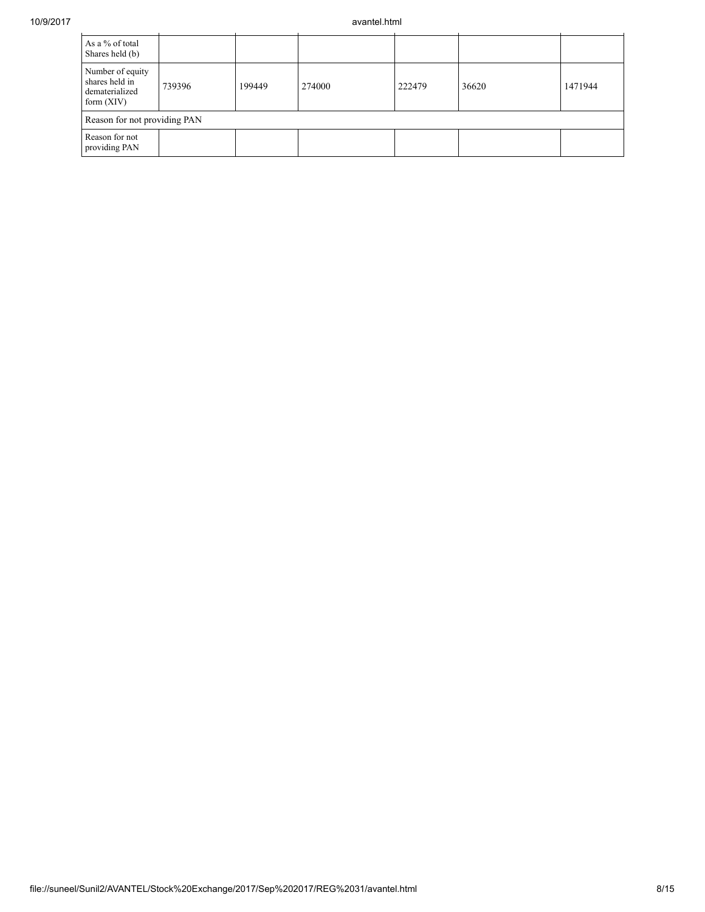| As a % of total<br>Shares held (b)                                   |        |        |        |        |       |         |  |
|----------------------------------------------------------------------|--------|--------|--------|--------|-------|---------|--|
| Number of equity<br>shares held in<br>dematerialized<br>form $(XIV)$ | 739396 | 199449 | 274000 | 222479 | 36620 | 1471944 |  |
| Reason for not providing PAN                                         |        |        |        |        |       |         |  |
| Reason for not<br>providing PAN                                      |        |        |        |        |       |         |  |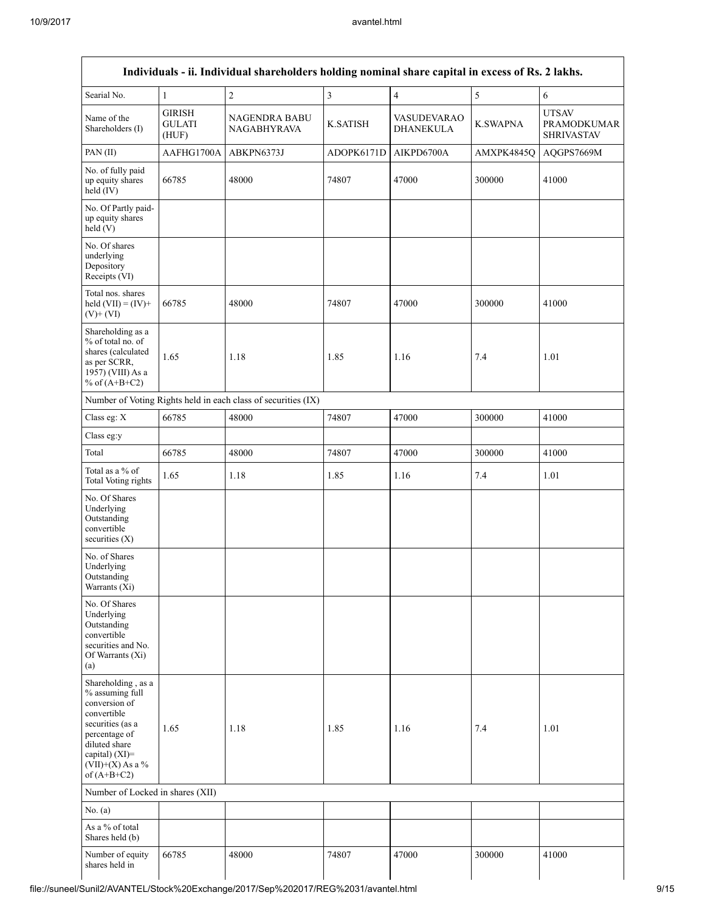|                                                                                                                                                                                      |                                         | Individuals - ii. Individual shareholders holding nominal share capital in excess of Rs. 2 lakhs. |                 |                                 |                 |                                                         |
|--------------------------------------------------------------------------------------------------------------------------------------------------------------------------------------|-----------------------------------------|---------------------------------------------------------------------------------------------------|-----------------|---------------------------------|-----------------|---------------------------------------------------------|
| Searial No.                                                                                                                                                                          | $\mathbf{1}$                            | $\overline{c}$                                                                                    | $\overline{3}$  | $\overline{4}$                  | $\mathfrak s$   | 6                                                       |
| Name of the<br>Shareholders (I)                                                                                                                                                      | <b>GIRISH</b><br><b>GULATI</b><br>(HUF) | NAGENDRA BABU<br><b>NAGABHYRAVA</b>                                                               | <b>K.SATISH</b> | VASUDEVARAO<br><b>DHANEKULA</b> | <b>K.SWAPNA</b> | <b>UTSAV</b><br><b>PRAMODKUMAR</b><br><b>SHRIVASTAV</b> |
| PAN(II)                                                                                                                                                                              | AAFHG1700A                              | ABKPN6373J                                                                                        | ADOPK6171D      | AIKPD6700A                      | AMXPK4845Q      | AQGPS7669M                                              |
| No. of fully paid<br>up equity shares<br>held $(IV)$                                                                                                                                 | 66785                                   | 48000                                                                                             | 74807           | 47000                           | 300000          | 41000                                                   |
| No. Of Partly paid-<br>up equity shares<br>held(V)                                                                                                                                   |                                         |                                                                                                   |                 |                                 |                 |                                                         |
| No. Of shares<br>underlying<br>Depository<br>Receipts (VI)                                                                                                                           |                                         |                                                                                                   |                 |                                 |                 |                                                         |
| Total nos. shares<br>held $(VII) = (IV) +$<br>$(V)$ + $(VI)$                                                                                                                         | 66785                                   | 48000                                                                                             | 74807           | 47000                           | 300000          | 41000                                                   |
| Shareholding as a<br>% of total no. of<br>shares (calculated<br>as per SCRR,<br>1957) (VIII) As a<br>% of $(A+B+C2)$                                                                 | 1.65                                    | 1.18                                                                                              | 1.85            | 1.16                            | 7.4             | 1.01                                                    |
|                                                                                                                                                                                      |                                         | Number of Voting Rights held in each class of securities (IX)                                     |                 |                                 |                 |                                                         |
| Class eg: X                                                                                                                                                                          | 66785                                   | 48000                                                                                             | 74807           | 47000                           | 300000          | 41000                                                   |
| Class eg:y                                                                                                                                                                           |                                         |                                                                                                   |                 |                                 |                 |                                                         |
| Total                                                                                                                                                                                | 66785                                   | 48000                                                                                             | 74807           | 47000                           | 300000          | 41000                                                   |
| Total as a % of<br>Total Voting rights                                                                                                                                               | 1.65                                    | 1.18                                                                                              | 1.85            | 1.16                            | 7.4             | 1.01                                                    |
| No. Of Shares<br>Underlying<br>Outstanding<br>convertible<br>securities $(X)$                                                                                                        |                                         |                                                                                                   |                 |                                 |                 |                                                         |
| No. of Shares<br>Underlying<br>Outstanding<br>Warrants $(X_i)$                                                                                                                       |                                         |                                                                                                   |                 |                                 |                 |                                                         |
| No. Of Shares<br>Underlying<br>Outstanding<br>convertible<br>securities and No.<br>Of Warrants (Xi)<br>(a)                                                                           |                                         |                                                                                                   |                 |                                 |                 |                                                         |
| Shareholding, as a<br>% assuming full<br>conversion of<br>convertible<br>securities (as a<br>percentage of<br>diluted share<br>capital) (XI)=<br>$(VII)+(X)$ As a %<br>of $(A+B+C2)$ | 1.65                                    | 1.18                                                                                              | 1.85            | 1.16                            | 7.4             | 1.01                                                    |
| Number of Locked in shares (XII)                                                                                                                                                     |                                         |                                                                                                   |                 |                                 |                 |                                                         |
| No. (a)                                                                                                                                                                              |                                         |                                                                                                   |                 |                                 |                 |                                                         |
| As a % of total<br>Shares held (b)                                                                                                                                                   |                                         |                                                                                                   |                 |                                 |                 |                                                         |
| Number of equity<br>shares held in                                                                                                                                                   | 66785                                   | 48000                                                                                             | 74807           | 47000                           | 300000          | 41000                                                   |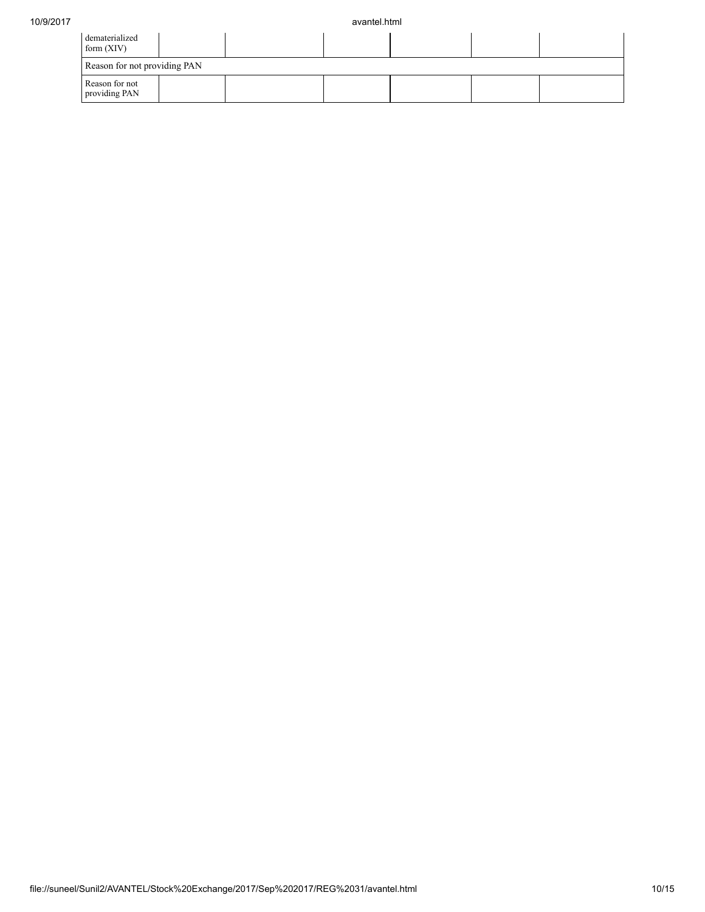| dematerialized<br>form $(XIV)$  |  |  |  |
|---------------------------------|--|--|--|
| Reason for not providing PAN    |  |  |  |
| Reason for not<br>providing PAN |  |  |  |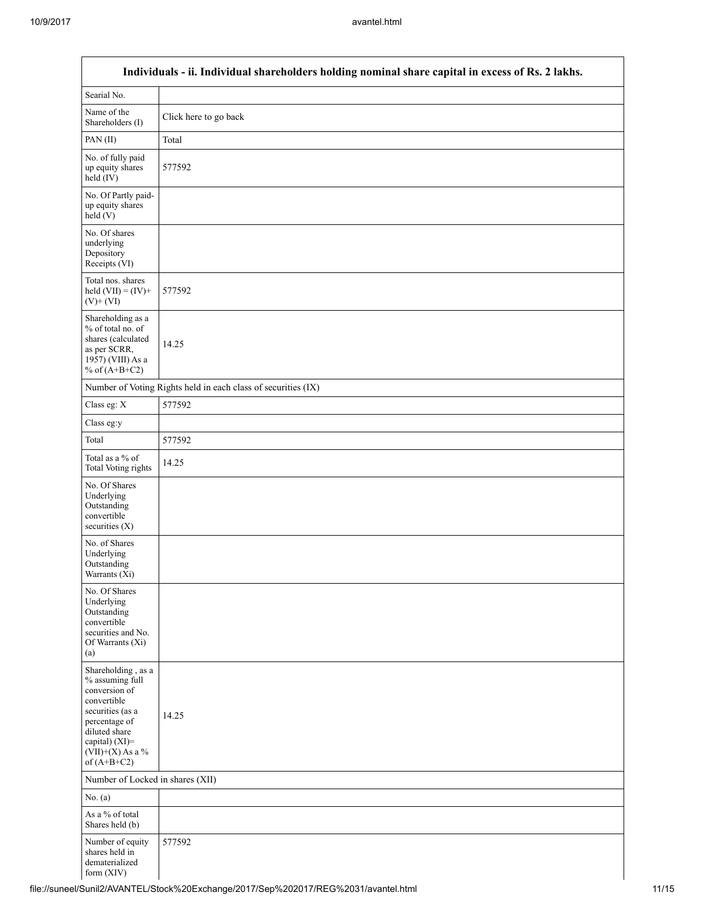$\mathsf{l}$ 

|                                                                                                                                                                                      | Individuals - ii. Individual shareholders holding nominal share capital in excess of Rs. 2 lakhs. |
|--------------------------------------------------------------------------------------------------------------------------------------------------------------------------------------|---------------------------------------------------------------------------------------------------|
| Searial No.                                                                                                                                                                          |                                                                                                   |
| Name of the<br>Shareholders (I)                                                                                                                                                      | Click here to go back                                                                             |
| PAN(II)                                                                                                                                                                              | Total                                                                                             |
| No. of fully paid<br>up equity shares<br>$held$ (IV)                                                                                                                                 | 577592                                                                                            |
| No. Of Partly paid-<br>up equity shares<br>held(V)                                                                                                                                   |                                                                                                   |
| No. Of shares<br>underlying<br>Depository<br>Receipts (VI)                                                                                                                           |                                                                                                   |
| Total nos. shares<br>held $(VII) = (IV) +$<br>$(V)$ + $(VI)$                                                                                                                         | 577592                                                                                            |
| Shareholding as a<br>% of total no. of<br>shares (calculated<br>as per SCRR,<br>1957) (VIII) As a<br>% of $(A+B+C2)$                                                                 | 14.25                                                                                             |
|                                                                                                                                                                                      | Number of Voting Rights held in each class of securities (IX)                                     |
| Class eg: X                                                                                                                                                                          | 577592                                                                                            |
| Class eg:y                                                                                                                                                                           |                                                                                                   |
| Total                                                                                                                                                                                | 577592                                                                                            |
| Total as a % of<br><b>Total Voting rights</b>                                                                                                                                        | 14.25                                                                                             |
| No. Of Shares<br>Underlying<br>Outstanding<br>convertible<br>securities (X)                                                                                                          |                                                                                                   |
| No. of Shares<br>Underlying<br>Outstanding<br>Warrants (Xi)                                                                                                                          |                                                                                                   |
| No. Of Shares<br>Underlying<br>Outstanding<br>convertible<br>securities and No.<br>Of Warrants (Xi)<br>(a)                                                                           |                                                                                                   |
| Shareholding, as a<br>% assuming full<br>conversion of<br>convertible<br>securities (as a<br>percentage of<br>diluted share<br>capital) (XI)=<br>$(VII)+(X)$ As a %<br>of $(A+B+C2)$ | 14.25                                                                                             |
| Number of Locked in shares (XII)                                                                                                                                                     |                                                                                                   |
| No. (a)                                                                                                                                                                              |                                                                                                   |
| As a % of total<br>Shares held (b)                                                                                                                                                   |                                                                                                   |
| Number of equity<br>shares held in<br>dematerialized<br>form (XIV)                                                                                                                   | 577592                                                                                            |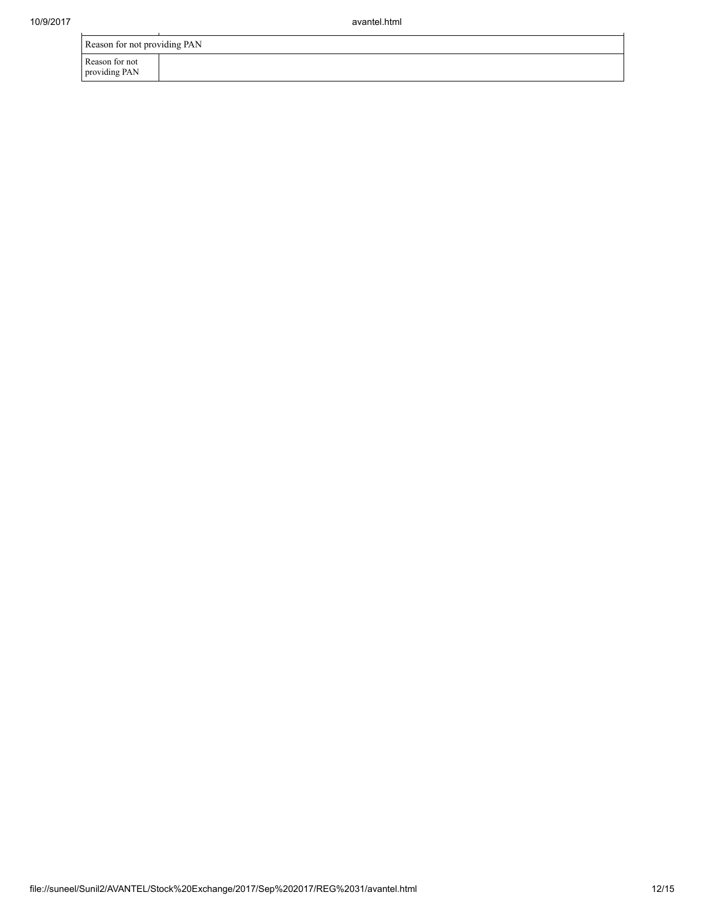ù.

| Reason for not providing PAN    |  |
|---------------------------------|--|
| Reason for not<br>providing PAN |  |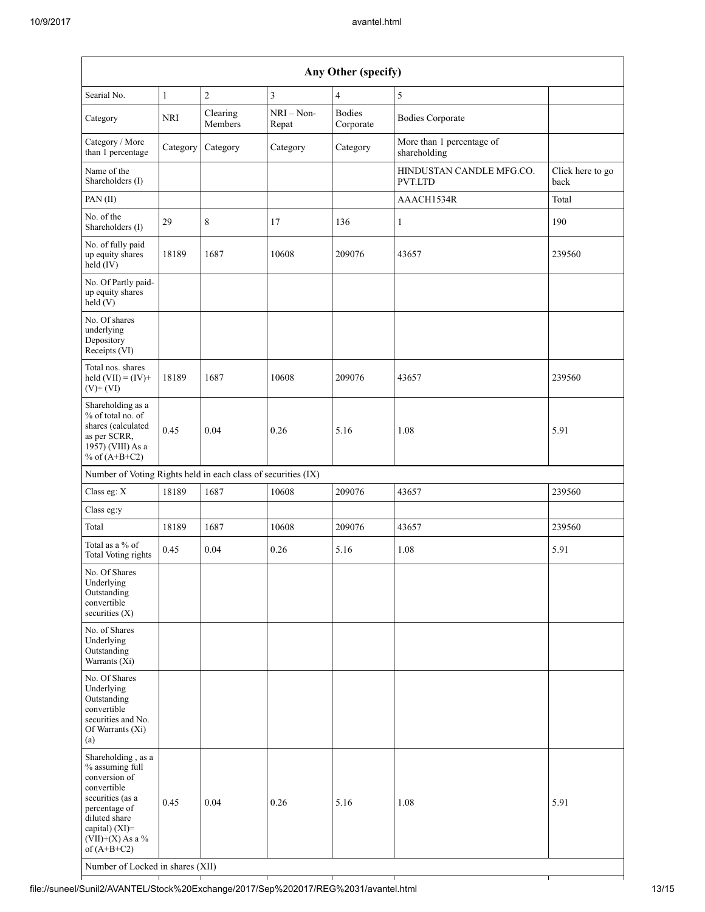| Any Other (specify)                                                                                                                                                                                                      |              |                     |                       |                            |                                           |                          |  |  |  |
|--------------------------------------------------------------------------------------------------------------------------------------------------------------------------------------------------------------------------|--------------|---------------------|-----------------------|----------------------------|-------------------------------------------|--------------------------|--|--|--|
| Searial No.                                                                                                                                                                                                              | $\mathbf{1}$ | $\overline{c}$      | 3                     | $\overline{4}$             | $\mathfrak s$                             |                          |  |  |  |
| Category                                                                                                                                                                                                                 | NRI          | Clearing<br>Members | $NRI - Non-$<br>Repat | <b>Bodies</b><br>Corporate | <b>Bodies Corporate</b>                   |                          |  |  |  |
| Category / More<br>than 1 percentage                                                                                                                                                                                     | Category     | Category            | Category              | Category                   | More than 1 percentage of<br>shareholding |                          |  |  |  |
| Name of the<br>Shareholders (I)                                                                                                                                                                                          |              |                     |                       |                            | HINDUSTAN CANDLE MFG.CO.<br>PVT.LTD       | Click here to go<br>back |  |  |  |
| PAN (II)                                                                                                                                                                                                                 |              |                     |                       |                            | AAACH1534R                                | Total                    |  |  |  |
| No. of the<br>Shareholders (I)                                                                                                                                                                                           | 29           | 8                   | 17                    | 136                        | $\mathbf{1}$                              | 190                      |  |  |  |
| No. of fully paid<br>up equity shares<br>held (IV)                                                                                                                                                                       | 18189        | 1687                | 10608                 | 209076                     | 43657                                     | 239560                   |  |  |  |
| No. Of Partly paid-<br>up equity shares<br>held (V)                                                                                                                                                                      |              |                     |                       |                            |                                           |                          |  |  |  |
| No. Of shares<br>underlying<br>Depository<br>Receipts (VI)                                                                                                                                                               |              |                     |                       |                            |                                           |                          |  |  |  |
| Total nos. shares<br>held $(VII) = (IV) +$<br>$(V)$ + $(VI)$                                                                                                                                                             | 18189        | 1687                | 10608                 | 209076                     | 43657                                     | 239560                   |  |  |  |
| Shareholding as a<br>% of total no. of<br>shares (calculated<br>as per SCRR,<br>1957) (VIII) As a<br>% of $(A+B+C2)$                                                                                                     | 0.45         | 0.04                | 0.26                  | 5.16                       | 1.08                                      | 5.91                     |  |  |  |
| Number of Voting Rights held in each class of securities (IX)                                                                                                                                                            |              |                     |                       |                            |                                           |                          |  |  |  |
| Class eg: X                                                                                                                                                                                                              | 18189        | 1687                | 10608                 | 209076                     | 43657                                     | 239560                   |  |  |  |
| Class eg:y                                                                                                                                                                                                               |              |                     |                       |                            |                                           |                          |  |  |  |
| Total                                                                                                                                                                                                                    | 18189        | 1687                | 10608                 | 209076                     | 43657                                     | 239560                   |  |  |  |
| Total as a % of<br><b>Total Voting rights</b>                                                                                                                                                                            | 0.45         | 0.04                | 0.26                  | 5.16                       | 1.08                                      | 5.91                     |  |  |  |
| No. Of Shares<br>Underlying<br>Outstanding<br>convertible<br>securities $(X)$                                                                                                                                            |              |                     |                       |                            |                                           |                          |  |  |  |
| No. of Shares<br>Underlying<br>Outstanding<br>Warrants (Xi)                                                                                                                                                              |              |                     |                       |                            |                                           |                          |  |  |  |
| No. Of Shares<br>Underlying<br>Outstanding<br>convertible<br>securities and No.<br>Of Warrants (Xi)<br>(a)                                                                                                               |              |                     |                       |                            |                                           |                          |  |  |  |
| Shareholding, as a<br>% assuming full<br>conversion of<br>convertible<br>securities (as a<br>percentage of<br>diluted share<br>capital) (XI)=<br>$(VII)+(X)$ As a %<br>of $(A+B+C2)$<br>Number of Locked in shares (XII) | 0.45         | 0.04                | 0.26                  | 5.16                       | 1.08                                      | 5.91                     |  |  |  |

file://suneel/Sunil2/AVANTEL/Stock%20Exchange/2017/Sep%202017/REG%2031/avantel.html 13/15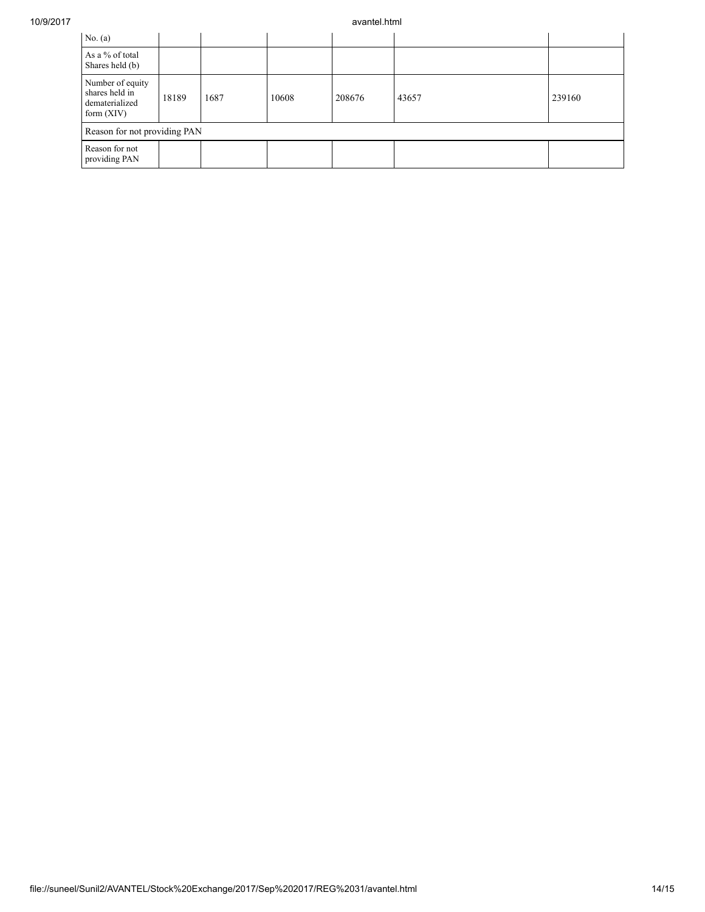## 10/9/2017 avantel.html

| No. $(a)$                                                            |       |      |       |        |       |        |  |  |  |
|----------------------------------------------------------------------|-------|------|-------|--------|-------|--------|--|--|--|
| As a % of total<br>Shares held (b)                                   |       |      |       |        |       |        |  |  |  |
| Number of equity<br>shares held in<br>dematerialized<br>form $(XIV)$ | 18189 | 1687 | 10608 | 208676 | 43657 | 239160 |  |  |  |
| Reason for not providing PAN                                         |       |      |       |        |       |        |  |  |  |
| Reason for not<br>providing PAN                                      |       |      |       |        |       |        |  |  |  |